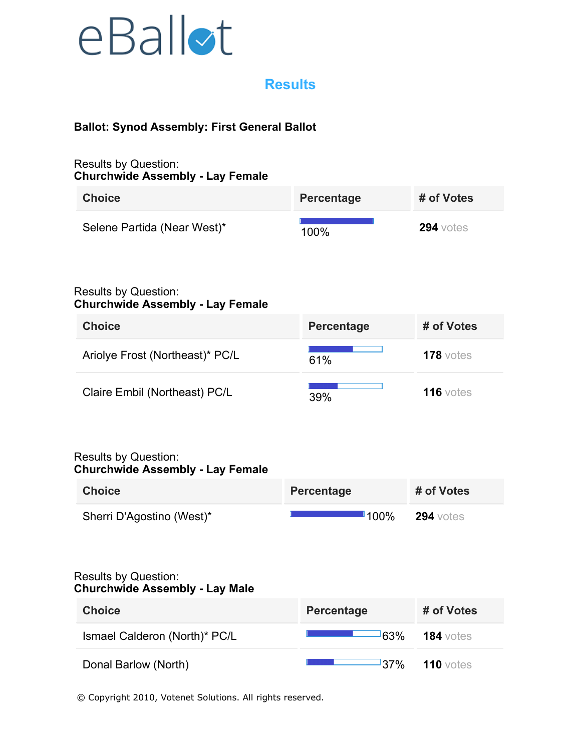

## **Results**

## **Ballot: Synod Assembly: First General Ballot**

#### Results by Question: **Churchwide Assembly - Lay Female**

| <b>Choice</b>                                                          | Percentage        | # of Votes  |
|------------------------------------------------------------------------|-------------------|-------------|
| Selene Partida (Near West)*                                            | 100%              | $294$ votes |
| <b>Results by Question:</b><br><b>Churchwide Assembly - Lay Female</b> |                   |             |
| <b>Choice</b>                                                          | Percentage        | # of Votes  |
| Ariolye Frost (Northeast)* PC/L                                        | 61%               | $178$ votes |
| Claire Embil (Northeast) PC/L                                          | 39%               | $116$ votes |
| <b>Results by Question:</b><br><b>Churchwide Assembly - Lay Female</b> |                   |             |
| <b>Choice</b>                                                          | Percentage        | # of Votes  |
| Sherri D'Agostino (West)*                                              | <sup>∎</sup> 100% | $294$ votes |
| <b>Results by Question:</b><br><b>Churchwide Assembly - Lay Male</b>   |                   |             |
| <b>Choice</b>                                                          | Percentage        | # of Votes  |
| Ismael Calderon (North)* PC/L                                          | 63%               | $184$ votes |
| Donal Barlow (North)                                                   | <sup>1</sup> 37%  | $110$ votes |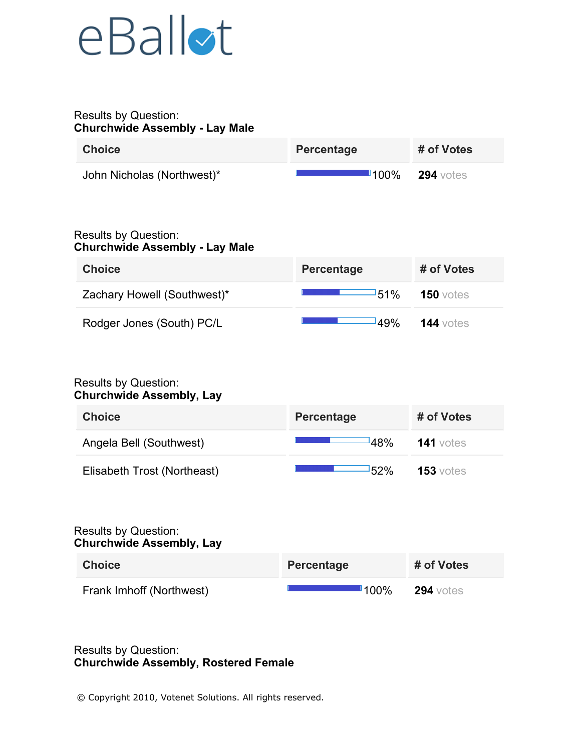## eBallot

#### Results by Question: **Churchwide Assembly - Lay Male**

| <b>Choice</b>              | Percentage | # of Votes       |
|----------------------------|------------|------------------|
| John Nicholas (Northwest)* | 100%       | <b>294</b> votes |

## Results by Question: **Churchwide Assembly - Lay Male**

| <b>Choice</b>               | <b>Percentage</b> | # of Votes       |
|-----------------------------|-------------------|------------------|
| Zachary Howell (Southwest)* | -51%              | <b>150</b> votes |
| Rodger Jones (South) PC/L   | 149%              | $144$ votes      |

#### Results by Question: **Churchwide Assembly, Lay**

| <b>Choice</b>               | Percentage | # of Votes       |
|-----------------------------|------------|------------------|
| Angela Bell (Southwest)     | 48%        | <b>141</b> votes |
| Elisabeth Trost (Northeast) | 52%        | $153$ votes      |

#### Results by Question: **Churchwide Assembly, Lay**

| <b>Choice</b>            | Percentage | # of Votes       |
|--------------------------|------------|------------------|
| Frank Imhoff (Northwest) | $\P$ 100%  | <b>294</b> votes |

## Results by Question: **Churchwide Assembly, Rostered Female**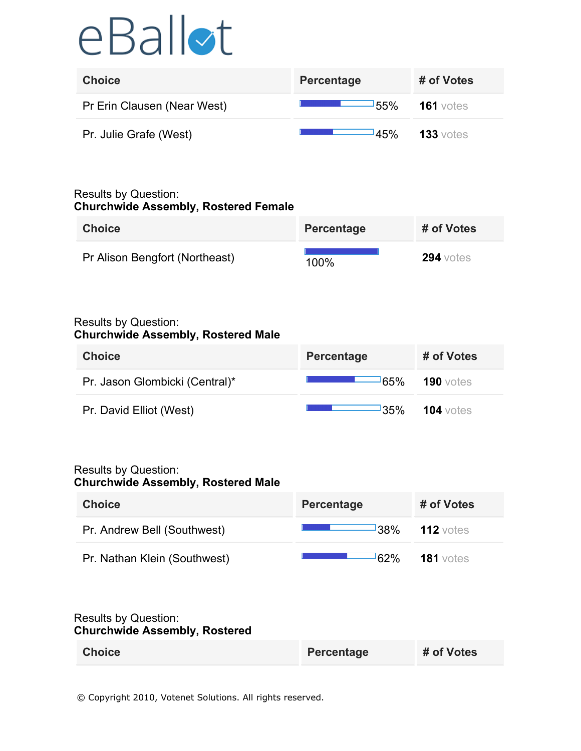# eBallot

| <b>Choice</b>               | <b>Percentage</b> | # of Votes  |
|-----------------------------|-------------------|-------------|
| Pr Erin Clausen (Near West) | <b>55%</b>        | $161$ votes |
| Pr. Julie Grafe (West)      | <b>45%</b>        | $133$ votes |

#### Results by Question: **Churchwide Assembly, Rostered Female**

| <b>Choice</b>                  | <b>Percentage</b> | # of Votes       |
|--------------------------------|-------------------|------------------|
| Pr Alison Bengfort (Northeast) | 100%              | <b>294</b> votes |

#### Results by Question: **Churchwide Assembly, Rostered Male**

| <b>Choice</b>                  | Percentage       | # of Votes  |
|--------------------------------|------------------|-------------|
| Pr. Jason Glombicki (Central)* | <sup>1</sup> 65% | $190$ votes |
| Pr. David Elliot (West)        | <u>35%</u>       | 104 votes   |

#### Results by Question: **Churchwide Assembly, Rostered Male**

| <b>Choice</b>                                                       | <b>Percentage</b> | # of Votes       |
|---------------------------------------------------------------------|-------------------|------------------|
| Pr. Andrew Bell (Southwest)                                         | 38%               | $112$ votes      |
| Pr. Nathan Klein (Southwest)                                        | 62%               | <b>181</b> votes |
| <b>Results by Question:</b><br><b>Churchwide Assembly, Rostered</b> |                   |                  |
| <b>Choice</b>                                                       | Percentage        | # of Votes       |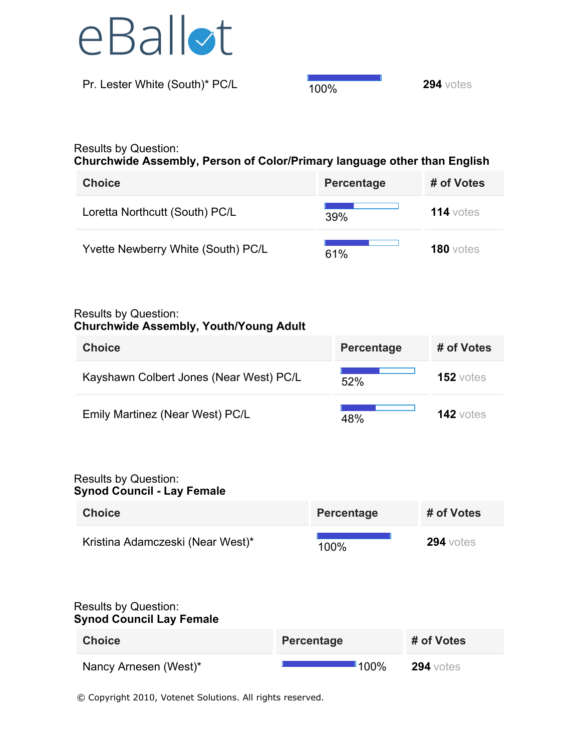

**Pr. Lester White (South)\* PC/L** 100% **294** votes

## Results by Question:

**Churchwide Assembly, Person of Color/Primary language other than English**

| <b>Choice</b>                      | <b>Percentage</b> | # of Votes  |
|------------------------------------|-------------------|-------------|
| Loretta Northcutt (South) PC/L     | 39%               | 114 votes   |
| Yvette Newberry White (South) PC/L | 61%               | $180$ votes |

#### Results by Question:

## **Churchwide Assembly, Youth/Young Adult**

| <b>Choice</b>                           | Percentage | # of Votes       |
|-----------------------------------------|------------|------------------|
| Kayshawn Colbert Jones (Near West) PC/L | 52%        | <b>152</b> votes |
| Emily Martinez (Near West) PC/L         | 48%        | $142$ votes      |

#### Results by Question: **Synod Council - Lay Female**

| <b>Choice</b>                    | Percentage | # of Votes       |
|----------------------------------|------------|------------------|
| Kristina Adamczeski (Near West)* | 100%       | <b>294</b> votes |

### Results by Question: **Synod Council Lay Female**

| <b>Choice</b>         | <b>Percentage</b> |           | # of Votes       |
|-----------------------|-------------------|-----------|------------------|
| Nancy Arnesen (West)* |                   | $\P$ 100% | <b>294</b> votes |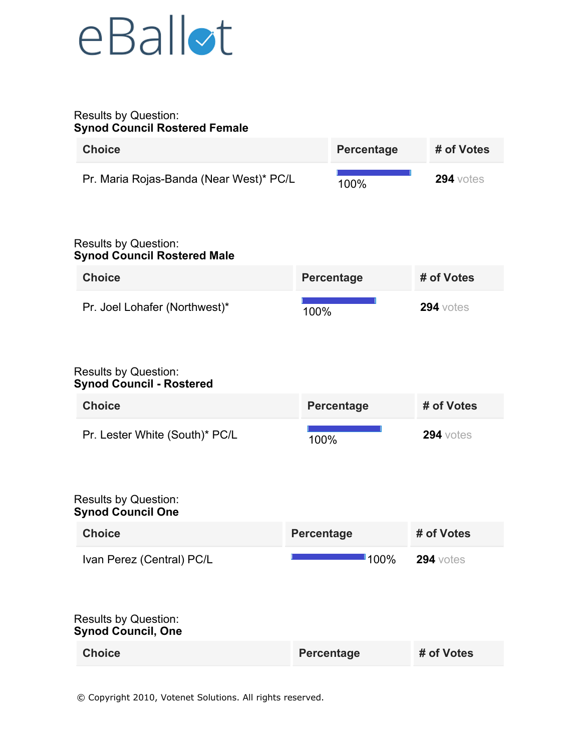## eBallot

#### Results by Question: **Synod Council Rostered Female**

| <b>Choice</b>                                                                         |                   | <b>Percentage</b> | # of Votes       |
|---------------------------------------------------------------------------------------|-------------------|-------------------|------------------|
| Pr. Maria Rojas-Banda (Near West)* PC/L                                               |                   | 100%              | <b>294</b> votes |
| <b>Results by Question:</b><br><b>Synod Council Rostered Male</b>                     |                   |                   |                  |
| <b>Choice</b>                                                                         |                   | <b>Percentage</b> | # of Votes       |
| Pr. Joel Lohafer (Northwest)*                                                         | 100%              |                   | $294$ votes      |
| <b>Results by Question:</b><br><b>Synod Council - Rostered</b>                        |                   |                   |                  |
| <b>Choice</b>                                                                         |                   | <b>Percentage</b> | # of Votes       |
| Pr. Lester White (South)* PC/L                                                        | 100%              |                   | $294$ votes      |
| <b>Results by Question:</b><br><b>Synod Council One</b>                               |                   |                   |                  |
| <b>Choice</b>                                                                         | <b>Percentage</b> |                   | # of Votes       |
| Ivan Perez (Central) PC/L<br><b>Results by Question:</b><br><b>Synod Council, One</b> |                   | $100\%$           | <b>294</b> votes |
| <b>Choice</b>                                                                         | Percentage        |                   | # of Votes       |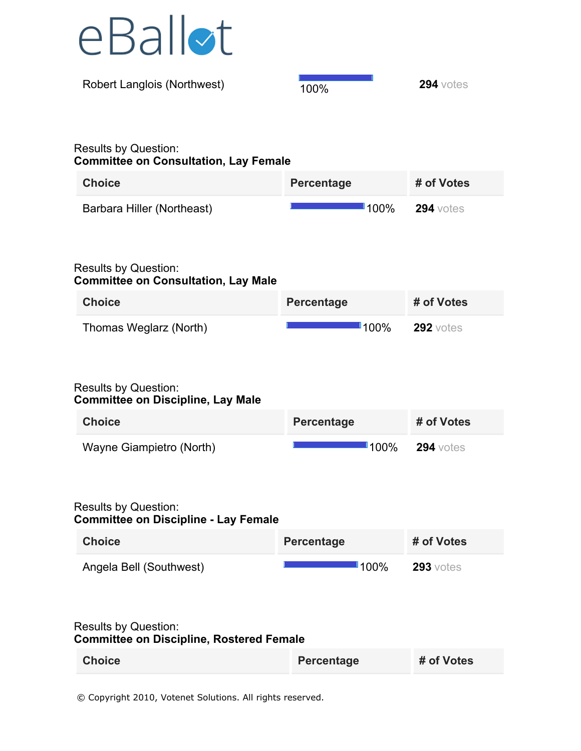

| <b>Robert Langlois (Northwest)</b>                                          | 100% | $294$ votes |
|-----------------------------------------------------------------------------|------|-------------|
|                                                                             |      |             |
| <b>Results by Question:</b><br><b>Committee on Consultation, Lay Female</b> |      |             |

| <b>Choice</b>              | Percentage | # of Votes       |
|----------------------------|------------|------------------|
| Barbara Hiller (Northeast) | ∎100%      | <b>294</b> votes |

## Results by Question: **Committee on Consultation, Lay Male**

| <b>Choice</b>          | Percentage          | # of Votes       |
|------------------------|---------------------|------------------|
| Thomas Weglarz (North) | $\blacksquare$ 100% | <b>292</b> votes |

## Results by Question: **Committee on Discipline, Lay Male**

| <b>Choice</b>            | Percentage          | # of Votes       |
|--------------------------|---------------------|------------------|
| Wayne Giampietro (North) | $\blacksquare$ 100% | <b>294</b> votes |

## Results by Question: **Committee on Discipline - Lay Female**

| <b>Choice</b>           | Percentage | # of Votes       |
|-------------------------|------------|------------------|
| Angela Bell (Southwest) | $\P$ 100%  | <b>293</b> votes |

#### Results by Question: **Committee on Discipline, Rostered Female**

| <b>Choice</b> | Percentage | # of Votes |
|---------------|------------|------------|
|---------------|------------|------------|